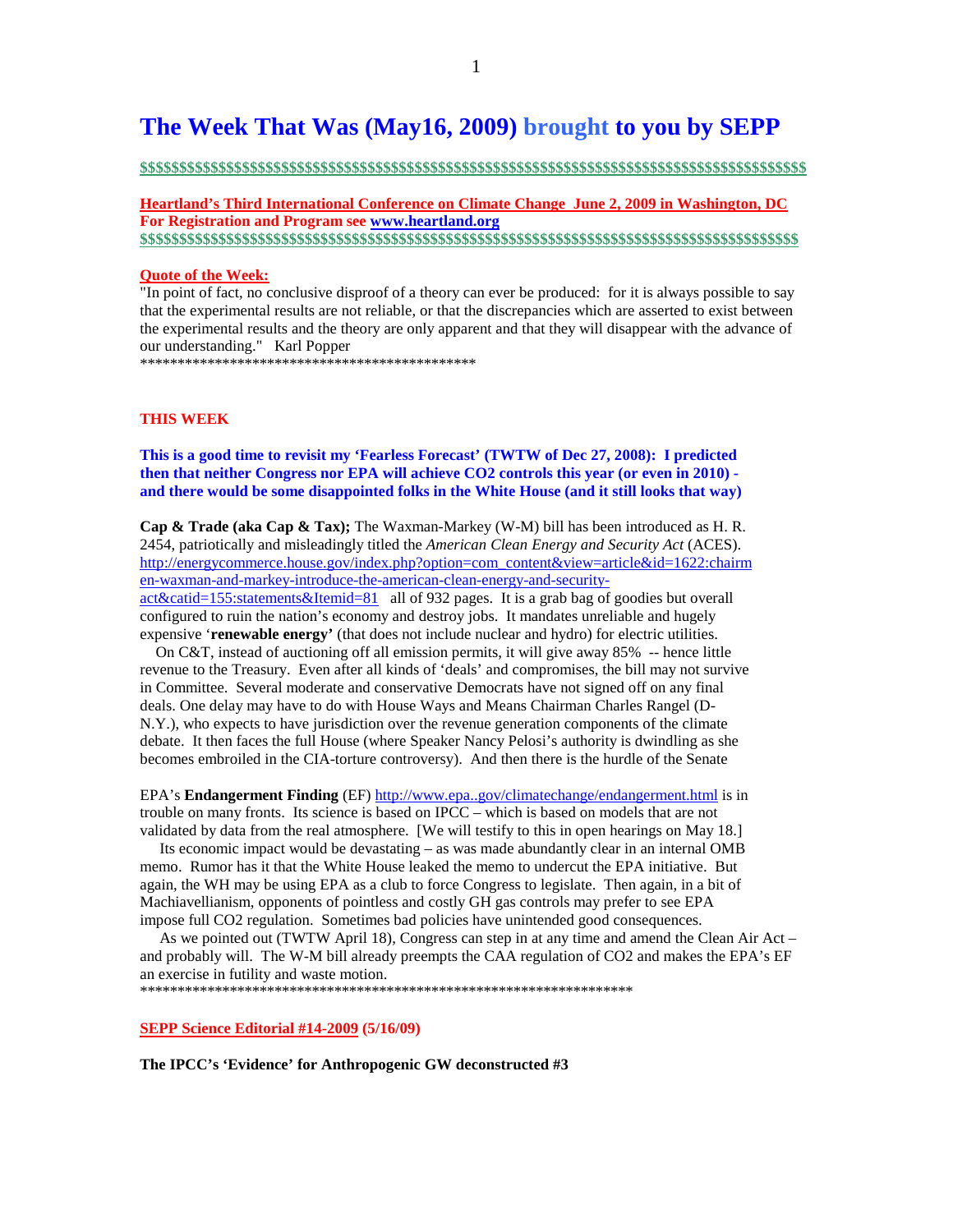## **The Week That Was (May16, 2009) brought to you by SEPP**

#### **\$\$\$\$\$\$\$\$\$\$\$\$\$\$\$\$\$\$\$\$\$\$\$\$\$\$\$\$\$\$\$\$\$\$\$\$\$\$\$\$\$\$\$\$\$\$\$\$\$\$\$\$\$\$\$\$\$\$\$\$\$\$\$\$\$\$\$\$\$\$\$\$\$\$\$\$\$\$\$\$\$\$\$\$\$**

**Heartland's Third International Conference on Climate Change June 2, 2009 in Washington, DC For Registration and Program see www.heartland.org \$\$\$\$\$\$\$\$\$\$\$\$\$\$\$\$\$\$\$\$\$\$\$\$\$\$\$\$\$\$\$\$\$\$\$\$\$\$\$\$\$\$\$\$\$\$\$\$\$\$\$\$\$\$\$\$\$\$\$\$\$\$\$\$\$\$\$\$\$\$\$\$\$\$\$\$\$\$\$\$\$\$\$\$**

#### **Quote of the Week:**

"In point of fact, no conclusive disproof of a theory can ever be produced: for it is always possible to say that the experimental results are not reliable, or that the discrepancies which are asserted to exist between the experimental results and the theory are only apparent and that they will disappear with the advance of our understanding." Karl Popper

\*\*\*\*\*\*\*\*\*\*\*\*\*\*\*\*\*\*\*\*\*\*\*\*\*\*\*\*\*\*\*\*\*\*\*\*\*\*\*\*\*\*\*\*\*

## **THIS WEEK**

**This is a good time to revisit my 'Fearless Forecast' (TWTW of Dec 27, 2008): I predicted then that neither Congress nor EPA will achieve CO2 controls this year (or even in 2010) and there would be some disappointed folks in the White House (and it still looks that way)** 

**Cap & Trade (aka Cap & Tax);** The Waxman-Markey (W-M) bill has been introduced as H. R. 2454, patriotically and misleadingly titled the *American Clean Energy and Security Act* (ACES). http://energycommerce.house.gov/index.php?option=com\_content&view=article&id=1622:chairm en-waxman-and-markey-introduce-the-american-clean-energy-and-securityact&catid=155:statements&Itemid=81 all of 932 pages. It is a grab bag of goodies but overall configured to ruin the nation's economy and destroy jobs. It mandates unreliable and hugely expensive '**renewable energy'** (that does not include nuclear and hydro) for electric utilities.

 On C&T, instead of auctioning off all emission permits, it will give away 85% -- hence little revenue to the Treasury. Even after all kinds of 'deals' and compromises, the bill may not survive in Committee. Several moderate and conservative Democrats have not signed off on any final deals. One delay may have to do with House Ways and Means Chairman Charles Rangel (D-N.Y.), who expects to have jurisdiction over the revenue generation components of the climate debate. It then faces the full House (where Speaker Nancy Pelosi's authority is dwindling as she becomes embroiled in the CIA-torture controversy). And then there is the hurdle of the Senate

EPA's **Endangerment Finding** (EF) http://www.epa..gov/climatechange/endangerment.html is in trouble on many fronts. Its science is based on IPCC – which is based on models that are not validated by data from the real atmosphere. [We will testify to this in open hearings on May 18.]

 Its economic impact would be devastating – as was made abundantly clear in an internal OMB memo. Rumor has it that the White House leaked the memo to undercut the EPA initiative. But again, the WH may be using EPA as a club to force Congress to legislate. Then again, in a bit of Machiavellianism, opponents of pointless and costly GH gas controls may prefer to see EPA impose full CO2 regulation. Sometimes bad policies have unintended good consequences.

 As we pointed out (TWTW April 18), Congress can step in at any time and amend the Clean Air Act – and probably will. The W-M bill already preempts the CAA regulation of CO2 and makes the EPA's EF an exercise in futility and waste motion.

\*\*\*\*\*\*\*\*\*\*\*\*\*\*\*\*\*\*\*\*\*\*\*\*\*\*\*\*\*\*\*\*\*\*\*\*\*\*\*\*\*\*\*\*\*\*\*\*\*\*\*\*\*\*\*\*\*\*\*\*\*\*\*\*\*\*

### **SEPP Science Editorial #14-2009 (5/16/09)**

**The IPCC's 'Evidence' for Anthropogenic GW deconstructed #3**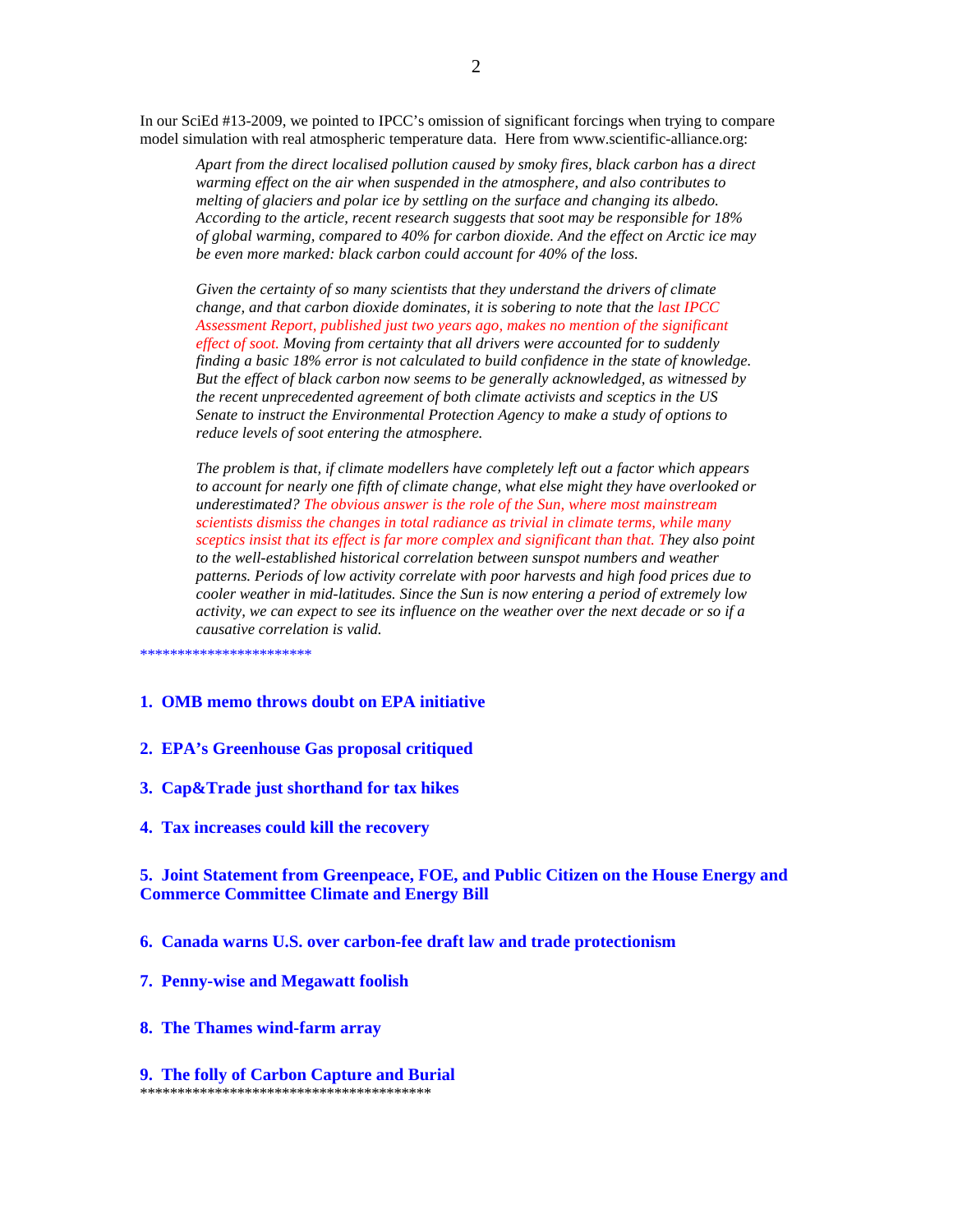In our SciEd #13-2009, we pointed to IPCC's omission of significant forcings when trying to compare model simulation with real atmospheric temperature data. Here from www.scientific-alliance.org:

*Apart from the direct localised pollution caused by smoky fires, black carbon has a direct warming effect on the air when suspended in the atmosphere, and also contributes to melting of glaciers and polar ice by settling on the surface and changing its albedo. According to the article, recent research suggests that soot may be responsible for 18% of global warming, compared to 40% for carbon dioxide. And the effect on Arctic ice may be even more marked: black carbon could account for 40% of the loss.* 

*Given the certainty of so many scientists that they understand the drivers of climate change, and that carbon dioxide dominates, it is sobering to note that the last IPCC Assessment Report, published just two years ago, makes no mention of the significant effect of soot. Moving from certainty that all drivers were accounted for to suddenly finding a basic 18% error is not calculated to build confidence in the state of knowledge. But the effect of black carbon now seems to be generally acknowledged, as witnessed by the recent unprecedented agreement of both climate activists and sceptics in the US Senate to instruct the Environmental Protection Agency to make a study of options to reduce levels of soot entering the atmosphere.* 

*The problem is that, if climate modellers have completely left out a factor which appears to account for nearly one fifth of climate change, what else might they have overlooked or underestimated? The obvious answer is the role of the Sun, where most mainstream scientists dismiss the changes in total radiance as trivial in climate terms, while many sceptics insist that its effect is far more complex and significant than that. They also point to the well-established historical correlation between sunspot numbers and weather patterns. Periods of low activity correlate with poor harvests and high food prices due to cooler weather in mid-latitudes. Since the Sun is now entering a period of extremely low activity, we can expect to see its influence on the weather over the next decade or so if a causative correlation is valid.*

\*\*\*\*\*\*\*\*\*\*\*\*\*\*\*\*\*\*\*\*\*\*\*

## **1. OMB memo throws doubt on EPA initiative**

- **2. EPA's Greenhouse Gas proposal critiqued**
- **3. Cap&Trade just shorthand for tax hikes**
- **4. Tax increases could kill the recovery**

## **5. Joint Statement from Greenpeace, FOE, and Public Citizen on the House Energy and Commerce Committee Climate and Energy Bill**

- **6. Canada warns U.S. over carbon-fee draft law and trade protectionism**
- **7. Penny-wise and Megawatt foolish**
- **8. The Thames wind-farm array**
- **9. The folly of Carbon Capture and Burial**  \*\*\*\*\*\*\*\*\*\*\*\*\*\*\*\*\*\*\*\*\*\*\*\*\*\*\*\*\*\*\*\*\*\*\*\*\*\*\*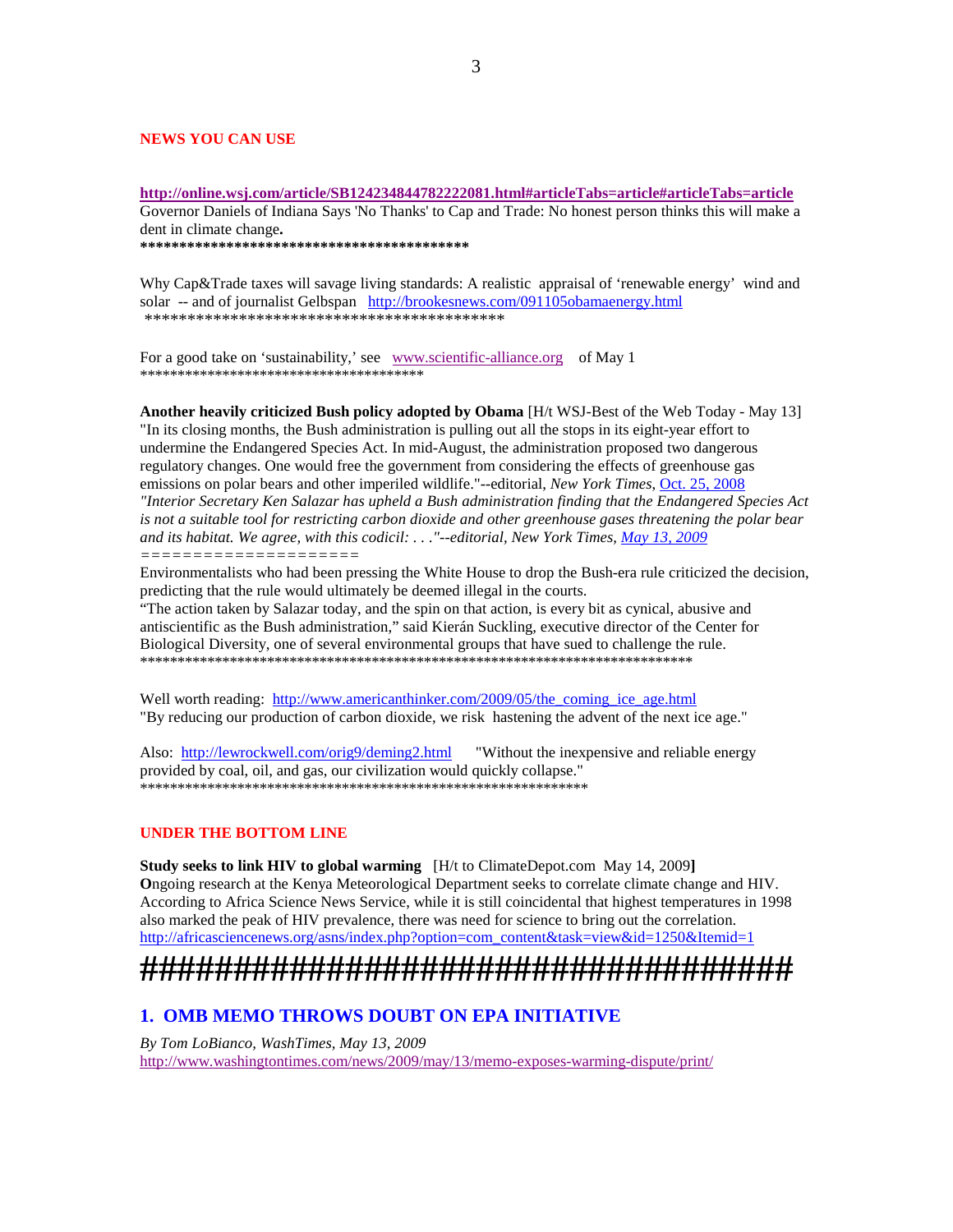#### **NEWS YOU CAN USE**

**http://online.wsj.com/article/SB124234844782222081.html#articleTabs=article#articleTabs=article** Governor Daniels of Indiana Says 'No Thanks' to Cap and Trade: No honest person thinks this will make a dent in climate change**. \*\*\*\*\*\*\*\*\*\*\*\*\*\*\*\*\*\*\*\*\*\*\*\*\*\*\*\*\*\*\*\*\*\*\*\*\*\*\*\*\*\*** 

Why Cap&Trade taxes will savage living standards: A realistic appraisal of 'renewable energy' wind and solar -- and of journalist Gelbspan http://brookesnews.com/091105obamaenergy.html \*\*\*\*\*\*\*\*\*\*\*\*\*\*\*\*\*\*\*\*\*\*\*\*\*\*\*\*\*\*\*\*\*\*\*\*\*\*\*\*\*\*

For a good take on 'sustainability,' see www.scientific-alliance.org of May 1 \*\*\*\*\*\*\*\*\*\*\*\*\*\*\*\*\*\*\*\*\*\*\*\*\*\*\*\*\*\*\*\*\*\*\*\*\*\*

**Another heavily criticized Bush policy adopted by Obama** [H/t WSJ-Best of the Web Today - May 13] "In its closing months, the Bush administration is pulling out all the stops in its eight-year effort to undermine the Endangered Species Act. In mid-August, the administration proposed two dangerous regulatory changes. One would free the government from considering the effects of greenhouse gas emissions on polar bears and other imperiled wildlife."--editorial, *New York Times*, Oct. 25, 2008 *"Interior Secretary Ken Salazar has upheld a Bush administration finding that the Endangered Species Act is not a suitable tool for restricting carbon dioxide and other greenhouse gases threatening the polar bear and its habitat. We agree, with this codicil: . . ."--editorial, New York Times, May 13, 2009 =====================* 

Environmentalists who had been pressing the White House to drop the Bush-era rule criticized the decision, predicting that the rule would ultimately be deemed illegal in the courts.

"The action taken by Salazar today, and the spin on that action, is every bit as cynical, abusive and antiscientific as the Bush administration," said Kierán Suckling, executive director of the Center for Biological Diversity, one of several environmental groups that have sued to challenge the rule. \*\*\*\*\*\*\*\*\*\*\*\*\*\*\*\*\*\*\*\*\*\*\*\*\*\*\*\*\*\*\*\*\*\*\*\*\*\*\*\*\*\*\*\*\*\*\*\*\*\*\*\*\*\*\*\*\*\*\*\*\*\*\*\*\*\*\*\*\*\*\*\*\*\*

Well worth reading: http://www.americanthinker.com/2009/05/the\_coming\_ice\_age.html "By reducing our production of carbon dioxide, we risk hastening the advent of the next ice age."

Also: http://lewrockwell.com/orig9/deming2.html "Without the inexpensive and reliable energy provided by coal, oil, and gas, our civilization would quickly collapse." \*\*\*\*\*\*\*\*\*\*\*\*\*\*\*\*\*\*\*\*\*\*\*\*\*\*\*\*\*\*\*\*\*\*\*\*\*\*\*\*\*\*\*\*\*\*\*\*\*\*\*\*\*\*\*\*\*\*\*\*

#### **UNDER THE BOTTOM LINE**

**Study seeks to link HIV to global warming** [H/t to ClimateDepot.com May 14, 2009**] O**ngoing research at the Kenya Meteorological Department seeks to correlate climate change and HIV. According to Africa Science News Service, while it is still coincidental that highest temperatures in 1998 also marked the peak of HIV prevalence, there was need for science to bring out the correlation. http://africasciencenews.org/asns/index.php?option=com\_content&task=view&id=1250&Itemid=1

# **###################################**

## **1. OMB MEMO THROWS DOUBT ON EPA INITIATIVE**

*By Tom LoBianco, WashTimes, May 13, 2009*  http://www.washingtontimes.com/news/2009/may/13/memo-exposes-warming-dispute/print/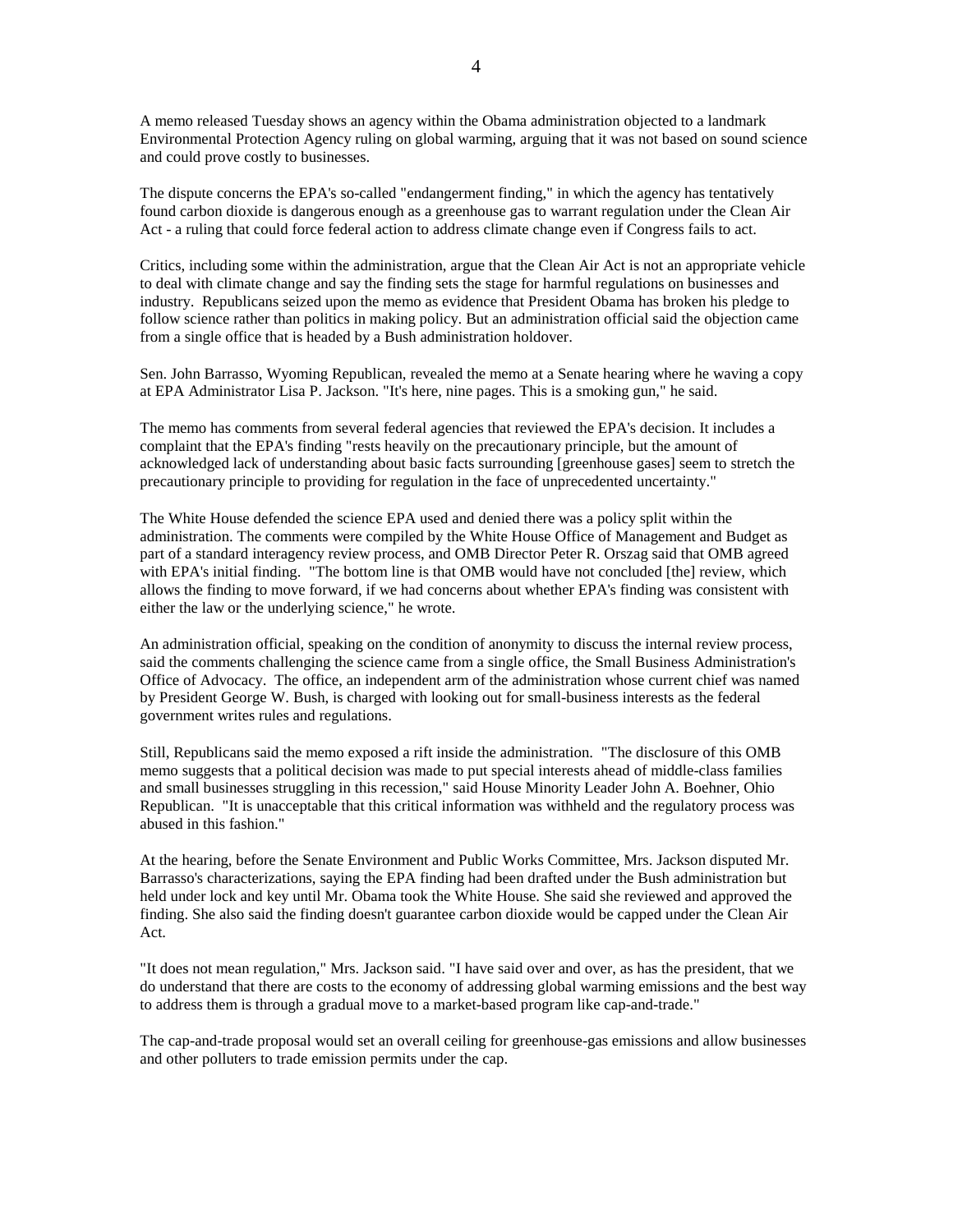A memo released Tuesday shows an agency within the Obama administration objected to a landmark Environmental Protection Agency ruling on global warming, arguing that it was not based on sound science and could prove costly to businesses.

The dispute concerns the EPA's so-called "endangerment finding," in which the agency has tentatively found carbon dioxide is dangerous enough as a greenhouse gas to warrant regulation under the Clean Air Act - a ruling that could force federal action to address climate change even if Congress fails to act.

Critics, including some within the administration, argue that the Clean Air Act is not an appropriate vehicle to deal with climate change and say the finding sets the stage for harmful regulations on businesses and industry. Republicans seized upon the memo as evidence that President Obama has broken his pledge to follow science rather than politics in making policy. But an administration official said the objection came from a single office that is headed by a Bush administration holdover.

Sen. John Barrasso, Wyoming Republican, revealed the memo at a Senate hearing where he waving a copy at EPA Administrator Lisa P. Jackson. "It's here, nine pages. This is a smoking gun," he said.

The memo has comments from several federal agencies that reviewed the EPA's decision. It includes a complaint that the EPA's finding "rests heavily on the precautionary principle, but the amount of acknowledged lack of understanding about basic facts surrounding [greenhouse gases] seem to stretch the precautionary principle to providing for regulation in the face of unprecedented uncertainty."

The White House defended the science EPA used and denied there was a policy split within the administration. The comments were compiled by the White House Office of Management and Budget as part of a standard interagency review process, and OMB Director Peter R. Orszag said that OMB agreed with EPA's initial finding. "The bottom line is that OMB would have not concluded [the] review, which allows the finding to move forward, if we had concerns about whether EPA's finding was consistent with either the law or the underlying science," he wrote.

An administration official, speaking on the condition of anonymity to discuss the internal review process, said the comments challenging the science came from a single office, the Small Business Administration's Office of Advocacy. The office, an independent arm of the administration whose current chief was named by President George W. Bush, is charged with looking out for small-business interests as the federal government writes rules and regulations.

Still, Republicans said the memo exposed a rift inside the administration. "The disclosure of this OMB memo suggests that a political decision was made to put special interests ahead of middle-class families and small businesses struggling in this recession," said House Minority Leader John A. Boehner, Ohio Republican. "It is unacceptable that this critical information was withheld and the regulatory process was abused in this fashion."

At the hearing, before the Senate Environment and Public Works Committee, Mrs. Jackson disputed Mr. Barrasso's characterizations, saying the EPA finding had been drafted under the Bush administration but held under lock and key until Mr. Obama took the White House. She said she reviewed and approved the finding. She also said the finding doesn't guarantee carbon dioxide would be capped under the Clean Air Act.

"It does not mean regulation," Mrs. Jackson said. "I have said over and over, as has the president, that we do understand that there are costs to the economy of addressing global warming emissions and the best way to address them is through a gradual move to a market-based program like cap-and-trade."

The cap-and-trade proposal would set an overall ceiling for greenhouse-gas emissions and allow businesses and other polluters to trade emission permits under the cap.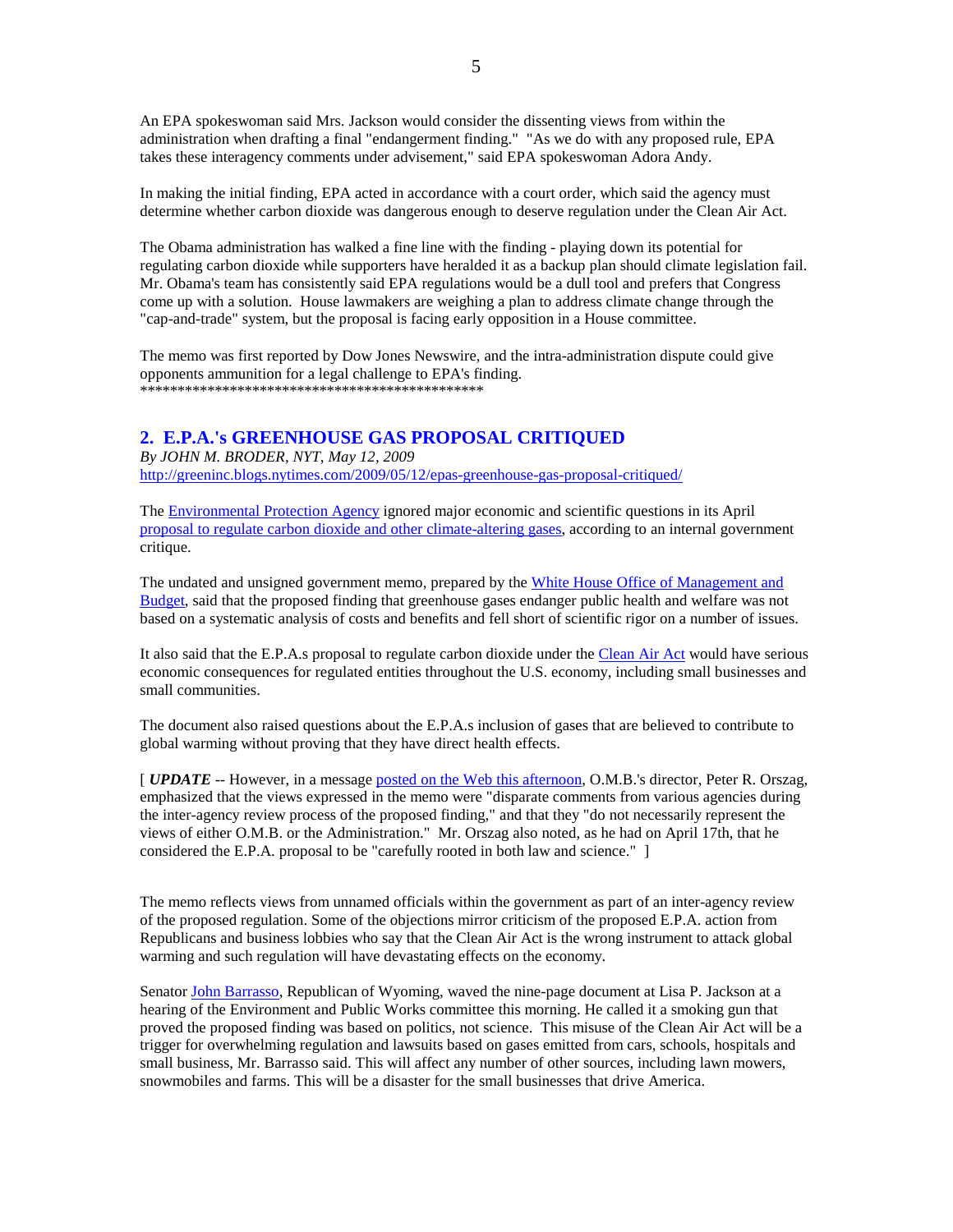An EPA spokeswoman said Mrs. Jackson would consider the dissenting views from within the administration when drafting a final "endangerment finding." "As we do with any proposed rule, EPA takes these interagency comments under advisement," said EPA spokeswoman Adora Andy.

In making the initial finding, EPA acted in accordance with a court order, which said the agency must determine whether carbon dioxide was dangerous enough to deserve regulation under the Clean Air Act.

The Obama administration has walked a fine line with the finding - playing down its potential for regulating carbon dioxide while supporters have heralded it as a backup plan should climate legislation fail. Mr. Obama's team has consistently said EPA regulations would be a dull tool and prefers that Congress come up with a solution. House lawmakers are weighing a plan to address climate change through the "cap-and-trade" system, but the proposal is facing early opposition in a House committee.

The memo was first reported by Dow Jones Newswire, and the intra-administration dispute could give opponents ammunition for a legal challenge to EPA's finding. \*\*\*\*\*\*\*\*\*\*\*\*\*\*\*\*\*\*\*\*\*\*\*\*\*\*\*\*\*\*\*\*\*\*\*\*\*\*\*\*\*\*\*\*\*\*

## **2. E.P.A.'s GREENHOUSE GAS PROPOSAL CRITIQUED**

*By JOHN M. BRODER, NYT, May 12, 2009* http://greeninc.blogs.nytimes.com/2009/05/12/epas-greenhouse-gas-proposal-critiqued/

The Environmental Protection Agency ignored major economic and scientific questions in its April proposal to regulate carbon dioxide and other climate-altering gases, according to an internal government critique.

The undated and unsigned government memo, prepared by the White House Office of Management and Budget, said that the proposed finding that greenhouse gases endanger public health and welfare was not based on a systematic analysis of costs and benefits and fell short of scientific rigor on a number of issues.

It also said that the E.P.A.s proposal to regulate carbon dioxide under the Clean Air Act would have serious economic consequences for regulated entities throughout the U.S. economy, including small businesses and small communities.

The document also raised questions about the E.P.A.s inclusion of gases that are believed to contribute to global warming without proving that they have direct health effects.

[ *UPDATE* -- However, in a message posted on the Web this afternoon, O.M.B.'s director, Peter R. Orszag, emphasized that the views expressed in the memo were "disparate comments from various agencies during the inter-agency review process of the proposed finding," and that they "do not necessarily represent the views of either O.M.B. or the Administration." Mr. Orszag also noted, as he had on April 17th, that he considered the E.P.A. proposal to be "carefully rooted in both law and science." ]

The memo reflects views from unnamed officials within the government as part of an inter-agency review of the proposed regulation. Some of the objections mirror criticism of the proposed E.P.A. action from Republicans and business lobbies who say that the Clean Air Act is the wrong instrument to attack global warming and such regulation will have devastating effects on the economy.

Senator John Barrasso, Republican of Wyoming, waved the nine-page document at Lisa P. Jackson at a hearing of the Environment and Public Works committee this morning. He called it a smoking gun that proved the proposed finding was based on politics, not science. This misuse of the Clean Air Act will be a trigger for overwhelming regulation and lawsuits based on gases emitted from cars, schools, hospitals and small business, Mr. Barrasso said. This will affect any number of other sources, including lawn mowers, snowmobiles and farms. This will be a disaster for the small businesses that drive America.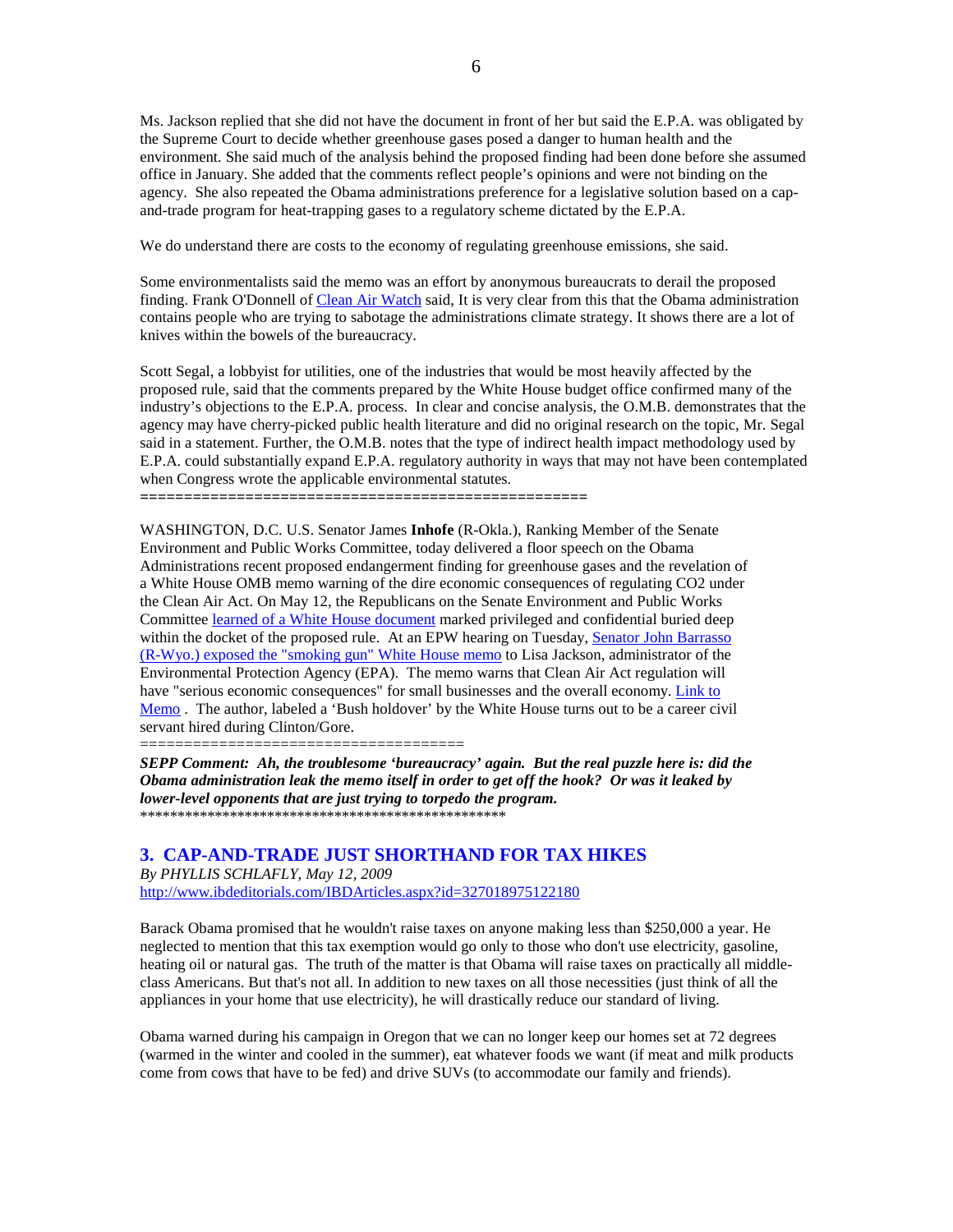Ms. Jackson replied that she did not have the document in front of her but said the E.P.A. was obligated by the Supreme Court to decide whether greenhouse gases posed a danger to human health and the environment. She said much of the analysis behind the proposed finding had been done before she assumed office in January. She added that the comments reflect people's opinions and were not binding on the agency. She also repeated the Obama administrations preference for a legislative solution based on a capand-trade program for heat-trapping gases to a regulatory scheme dictated by the E.P.A.

We do understand there are costs to the economy of regulating greenhouse emissions, she said.

Some environmentalists said the memo was an effort by anonymous bureaucrats to derail the proposed finding. Frank O'Donnell of Clean Air Watch said, It is very clear from this that the Obama administration contains people who are trying to sabotage the administrations climate strategy. It shows there are a lot of knives within the bowels of the bureaucracy.

Scott Segal, a lobbyist for utilities, one of the industries that would be most heavily affected by the proposed rule, said that the comments prepared by the White House budget office confirmed many of the industry's objections to the E.P.A. process. In clear and concise analysis, the O.M.B. demonstrates that the agency may have cherry-picked public health literature and did no original research on the topic, Mr. Segal said in a statement. Further, the O.M.B. notes that the type of indirect health impact methodology used by E.P.A. could substantially expand E.P.A. regulatory authority in ways that may not have been contemplated when Congress wrote the applicable environmental statutes.

**===================================================**

WASHINGTON, D.C. U.S. Senator James **Inhofe** (R-Okla.), Ranking Member of the Senate Environment and Public Works Committee, today delivered a floor speech on the Obama Administrations recent proposed endangerment finding for greenhouse gases and the revelation of a White House OMB memo warning of the dire economic consequences of regulating CO2 under the Clean Air Act. On May 12, the Republicans on the Senate Environment and Public Works Committee learned of a White House document marked privileged and confidential buried deep within the docket of the proposed rule. At an EPW hearing on Tuesday, Senator John Barrasso (R-Wyo.) exposed the "smoking gun" White House memo to Lisa Jackson, administrator of the Environmental Protection Agency (EPA). The memo warns that Clean Air Act regulation will have "serious economic consequences" for small businesses and the overall economy. Link to Memo. The author, labeled a 'Bush holdover' by the White House turns out to be a career civil servant hired during Clinton/Gore.

*SEPP Comment: Ah, the troublesome 'bureaucracy' again. But the real puzzle here is: did the Obama administration leak the memo itself in order to get off the hook? Or was it leaked by lower-level opponents that are just trying to torpedo the program.*  \*\*\*\*\*\*\*\*\*\*\*\*\*\*\*\*\*\*\*\*\*\*\*\*\*\*\*\*\*\*\*\*\*\*\*\*\*\*\*\*\*\*\*\*\*\*\*\*\*

## **3. CAP-AND-TRADE JUST SHORTHAND FOR TAX HIKES**

*By PHYLLIS SCHLAFLY, May 12, 2009*  http://www.ibdeditorials.com/IBDArticles.aspx?id=327018975122180

=====================================

Barack Obama promised that he wouldn't raise taxes on anyone making less than \$250,000 a year. He neglected to mention that this tax exemption would go only to those who don't use electricity, gasoline, heating oil or natural gas. The truth of the matter is that Obama will raise taxes on practically all middleclass Americans. But that's not all. In addition to new taxes on all those necessities (just think of all the appliances in your home that use electricity), he will drastically reduce our standard of living.

Obama warned during his campaign in Oregon that we can no longer keep our homes set at 72 degrees (warmed in the winter and cooled in the summer), eat whatever foods we want (if meat and milk products come from cows that have to be fed) and drive SUVs (to accommodate our family and friends).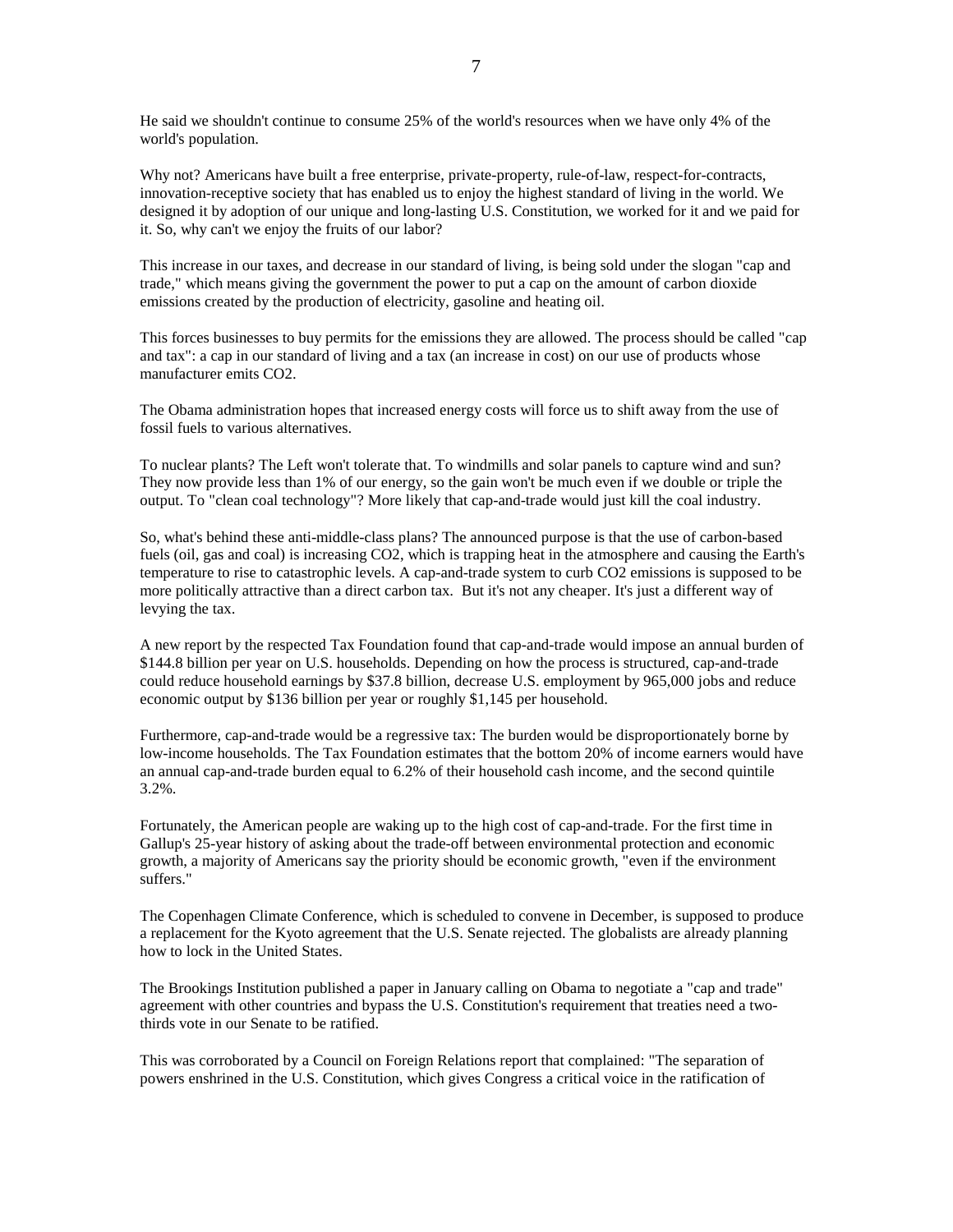He said we shouldn't continue to consume 25% of the world's resources when we have only 4% of the world's population.

Why not? Americans have built a free enterprise, private-property, rule-of-law, respect-for-contracts, innovation-receptive society that has enabled us to enjoy the highest standard of living in the world. We designed it by adoption of our unique and long-lasting U.S. Constitution, we worked for it and we paid for it. So, why can't we enjoy the fruits of our labor?

This increase in our taxes, and decrease in our standard of living, is being sold under the slogan "cap and trade," which means giving the government the power to put a cap on the amount of carbon dioxide emissions created by the production of electricity, gasoline and heating oil.

This forces businesses to buy permits for the emissions they are allowed. The process should be called "cap and tax": a cap in our standard of living and a tax (an increase in cost) on our use of products whose manufacturer emits CO2.

The Obama administration hopes that increased energy costs will force us to shift away from the use of fossil fuels to various alternatives.

To nuclear plants? The Left won't tolerate that. To windmills and solar panels to capture wind and sun? They now provide less than 1% of our energy, so the gain won't be much even if we double or triple the output. To "clean coal technology"? More likely that cap-and-trade would just kill the coal industry.

So, what's behind these anti-middle-class plans? The announced purpose is that the use of carbon-based fuels (oil, gas and coal) is increasing CO2, which is trapping heat in the atmosphere and causing the Earth's temperature to rise to catastrophic levels. A cap-and-trade system to curb CO2 emissions is supposed to be more politically attractive than a direct carbon tax. But it's not any cheaper. It's just a different way of levying the tax.

A new report by the respected Tax Foundation found that cap-and-trade would impose an annual burden of \$144.8 billion per year on U.S. households. Depending on how the process is structured, cap-and-trade could reduce household earnings by \$37.8 billion, decrease U.S. employment by 965,000 jobs and reduce economic output by \$136 billion per year or roughly \$1,145 per household.

Furthermore, cap-and-trade would be a regressive tax: The burden would be disproportionately borne by low-income households. The Tax Foundation estimates that the bottom 20% of income earners would have an annual cap-and-trade burden equal to 6.2% of their household cash income, and the second quintile 3.2%.

Fortunately, the American people are waking up to the high cost of cap-and-trade. For the first time in Gallup's 25-year history of asking about the trade-off between environmental protection and economic growth, a majority of Americans say the priority should be economic growth, "even if the environment suffers."

The Copenhagen Climate Conference, which is scheduled to convene in December, is supposed to produce a replacement for the Kyoto agreement that the U.S. Senate rejected. The globalists are already planning how to lock in the United States.

The Brookings Institution published a paper in January calling on Obama to negotiate a "cap and trade" agreement with other countries and bypass the U.S. Constitution's requirement that treaties need a twothirds vote in our Senate to be ratified.

This was corroborated by a Council on Foreign Relations report that complained: "The separation of powers enshrined in the U.S. Constitution, which gives Congress a critical voice in the ratification of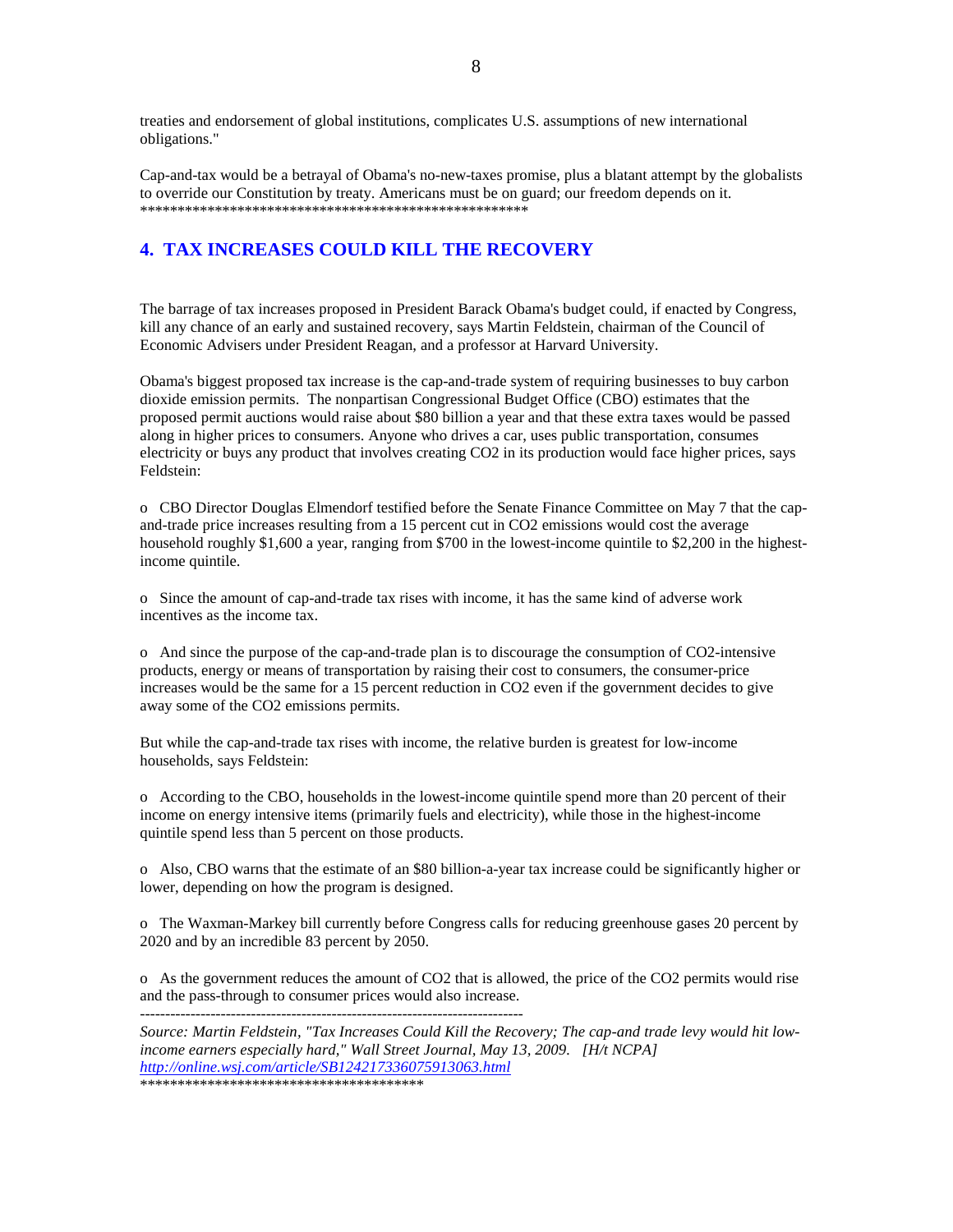treaties and endorsement of global institutions, complicates U.S. assumptions of new international obligations."

Cap-and-tax would be a betrayal of Obama's no-new-taxes promise, plus a blatant attempt by the globalists to override our Constitution by treaty. Americans must be on guard; our freedom depends on it. \*\*\*\*\*\*\*\*\*\*\*\*\*\*\*\*\*\*\*\*\*\*\*\*\*\*\*\*\*\*\*\*\*\*\*\*\*\*\*\*\*\*\*\*\*\*\*\*\*\*\*\*

## **4. TAX INCREASES COULD KILL THE RECOVERY**

The barrage of tax increases proposed in President Barack Obama's budget could, if enacted by Congress, kill any chance of an early and sustained recovery, says Martin Feldstein, chairman of the Council of Economic Advisers under President Reagan, and a professor at Harvard University.

Obama's biggest proposed tax increase is the cap-and-trade system of requiring businesses to buy carbon dioxide emission permits. The nonpartisan Congressional Budget Office (CBO) estimates that the proposed permit auctions would raise about \$80 billion a year and that these extra taxes would be passed along in higher prices to consumers. Anyone who drives a car, uses public transportation, consumes electricity or buys any product that involves creating CO2 in its production would face higher prices, says Feldstein:

o CBO Director Douglas Elmendorf testified before the Senate Finance Committee on May 7 that the capand-trade price increases resulting from a 15 percent cut in CO2 emissions would cost the average household roughly \$1,600 a year, ranging from \$700 in the lowest-income quintile to \$2,200 in the highestincome quintile.

o Since the amount of cap-and-trade tax rises with income, it has the same kind of adverse work incentives as the income tax.

o And since the purpose of the cap-and-trade plan is to discourage the consumption of CO2-intensive products, energy or means of transportation by raising their cost to consumers, the consumer-price increases would be the same for a 15 percent reduction in CO2 even if the government decides to give away some of the CO2 emissions permits.

But while the cap-and-trade tax rises with income, the relative burden is greatest for low-income households, says Feldstein:

o According to the CBO, households in the lowest-income quintile spend more than 20 percent of their income on energy intensive items (primarily fuels and electricity), while those in the highest-income quintile spend less than 5 percent on those products.

o Also, CBO warns that the estimate of an \$80 billion-a-year tax increase could be significantly higher or lower, depending on how the program is designed.

o The Waxman-Markey bill currently before Congress calls for reducing greenhouse gases 20 percent by 2020 and by an incredible 83 percent by 2050.

o As the government reduces the amount of CO2 that is allowed, the price of the CO2 permits would rise and the pass-through to consumer prices would also increase. ----------------------------------------------------------------------------

*Source: Martin Feldstein, "Tax Increases Could Kill the Recovery; The cap-and trade levy would hit lowincome earners especially hard," Wall Street Journal, May 13, 2009. [H/t NCPA] http://online.wsj.com/article/SB124217336075913063.html* \*\*\*\*\*\*\*\*\*\*\*\*\*\*\*\*\*\*\*\*\*\*\*\*\*\*\*\*\*\*\*\*\*\*\*\*\*\*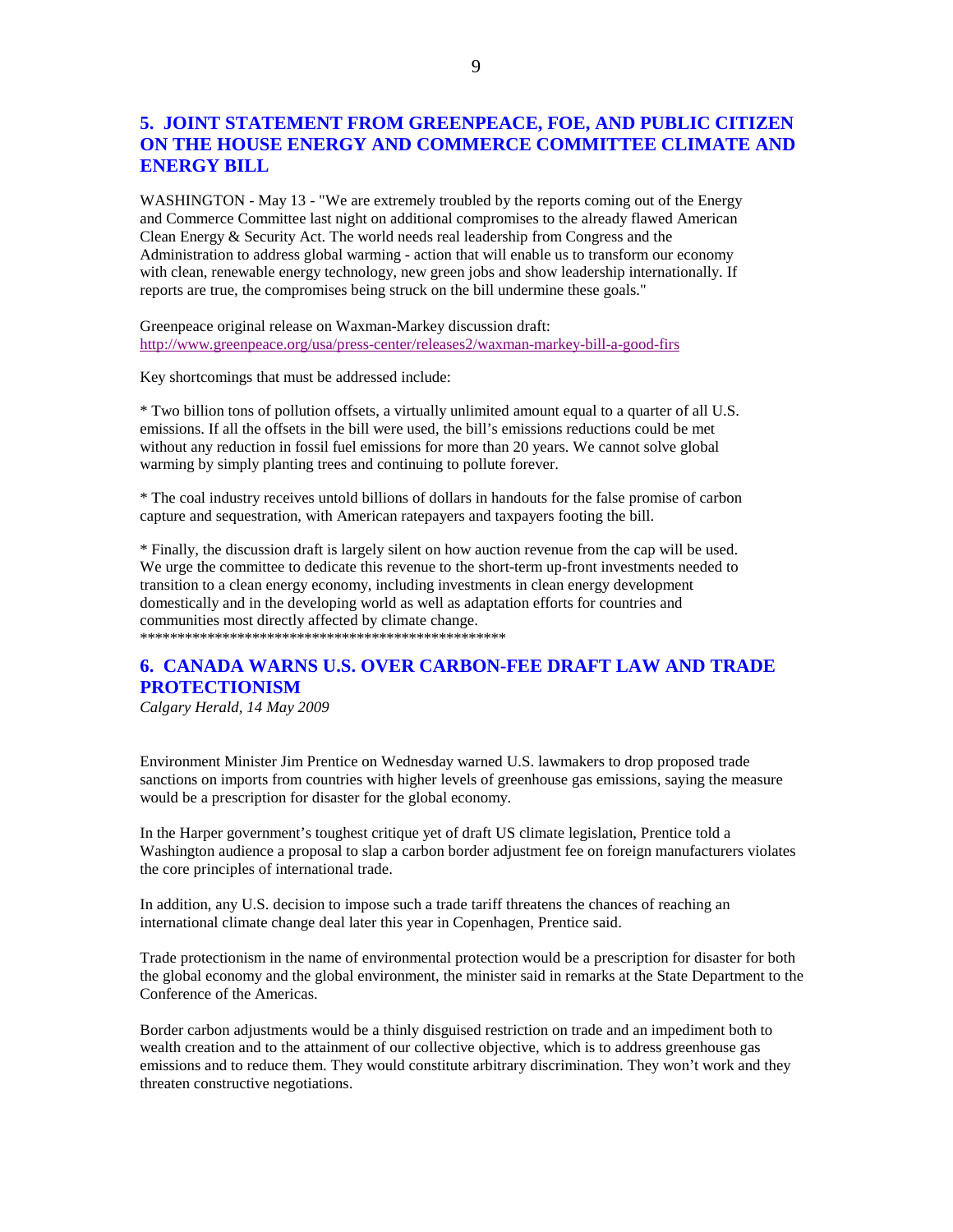## **5. JOINT STATEMENT FROM GREENPEACE, FOE, AND PUBLIC CITIZEN ON THE HOUSE ENERGY AND COMMERCE COMMITTEE CLIMATE AND ENERGY BILL**

WASHINGTON - May 13 - "We are extremely troubled by the reports coming out of the Energy and Commerce Committee last night on additional compromises to the already flawed American Clean Energy & Security Act. The world needs real leadership from Congress and the Administration to address global warming - action that will enable us to transform our economy with clean, renewable energy technology, new green jobs and show leadership internationally. If reports are true, the compromises being struck on the bill undermine these goals."

Greenpeace original release on Waxman-Markey discussion draft: http://www.greenpeace.org/usa/press-center/releases2/waxman-markey-bill-a-good-firs

Key shortcomings that must be addressed include:

\* Two billion tons of pollution offsets, a virtually unlimited amount equal to a quarter of all U.S. emissions. If all the offsets in the bill were used, the bill's emissions reductions could be met without any reduction in fossil fuel emissions for more than 20 years. We cannot solve global warming by simply planting trees and continuing to pollute forever.

\* The coal industry receives untold billions of dollars in handouts for the false promise of carbon capture and sequestration, with American ratepayers and taxpayers footing the bill.

\* Finally, the discussion draft is largely silent on how auction revenue from the cap will be used. We urge the committee to dedicate this revenue to the short-term up-front investments needed to transition to a clean energy economy, including investments in clean energy development domestically and in the developing world as well as adaptation efforts for countries and communities most directly affected by climate change. \*\*\*\*\*\*\*\*\*\*\*\*\*\*\*\*\*\*\*\*\*\*\*\*\*\*\*\*\*\*\*\*\*\*\*\*\*\*\*\*\*\*\*\*\*\*\*\*\*

## **6. CANADA WARNS U.S. OVER CARBON-FEE DRAFT LAW AND TRADE PROTECTIONISM**

*Calgary Herald, 14 May 2009* 

Environment Minister Jim Prentice on Wednesday warned U.S. lawmakers to drop proposed trade sanctions on imports from countries with higher levels of greenhouse gas emissions, saying the measure would be a prescription for disaster for the global economy.

In the Harper government's toughest critique yet of draft US climate legislation, Prentice told a Washington audience a proposal to slap a carbon border adjustment fee on foreign manufacturers violates the core principles of international trade.

In addition, any U.S. decision to impose such a trade tariff threatens the chances of reaching an international climate change deal later this year in Copenhagen, Prentice said.

Trade protectionism in the name of environmental protection would be a prescription for disaster for both the global economy and the global environment, the minister said in remarks at the State Department to the Conference of the Americas.

Border carbon adjustments would be a thinly disguised restriction on trade and an impediment both to wealth creation and to the attainment of our collective objective, which is to address greenhouse gas emissions and to reduce them. They would constitute arbitrary discrimination. They won't work and they threaten constructive negotiations.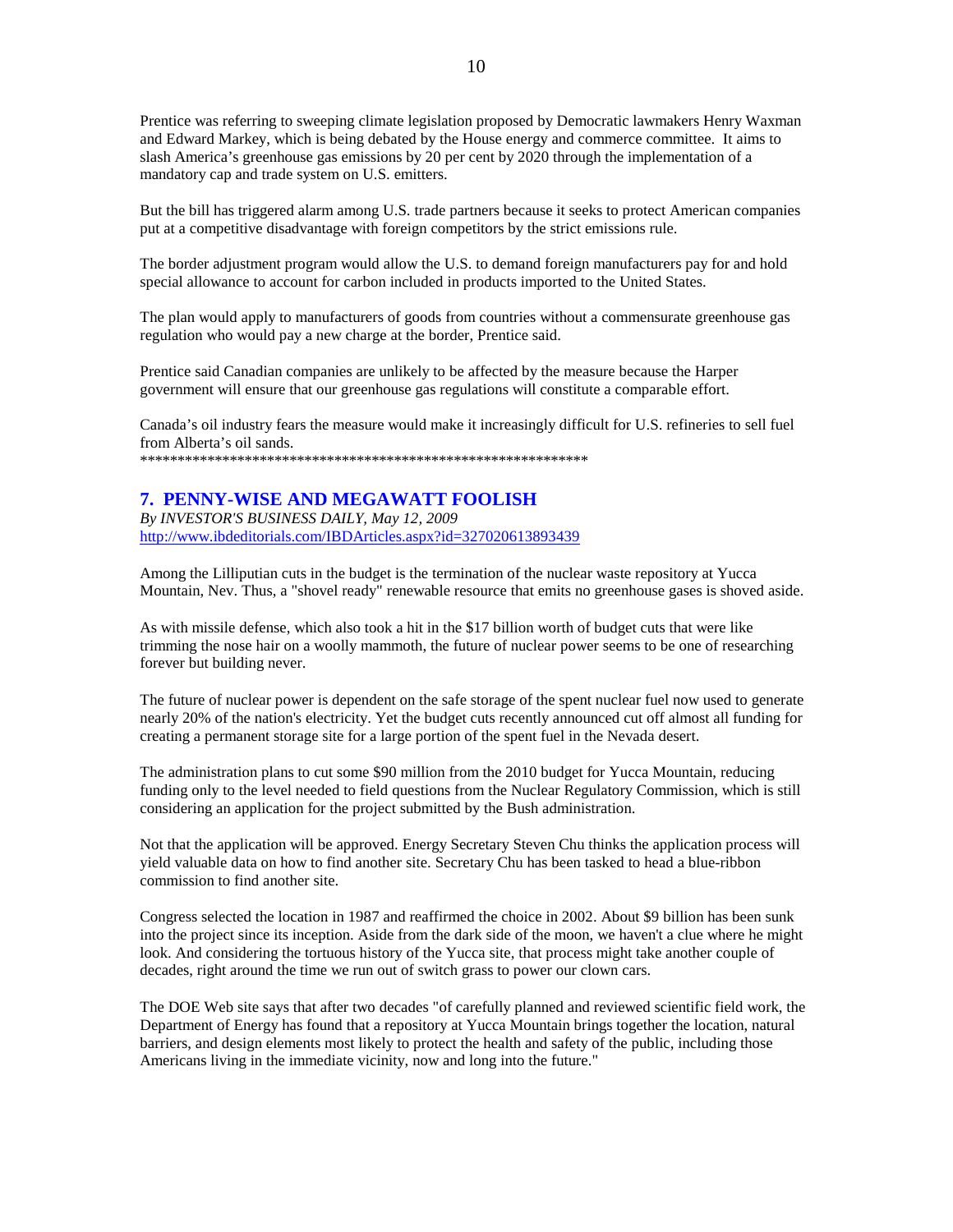Prentice was referring to sweeping climate legislation proposed by Democratic lawmakers Henry Waxman and Edward Markey, which is being debated by the House energy and commerce committee. It aims to slash America's greenhouse gas emissions by 20 per cent by 2020 through the implementation of a mandatory cap and trade system on U.S. emitters.

But the bill has triggered alarm among U.S. trade partners because it seeks to protect American companies put at a competitive disadvantage with foreign competitors by the strict emissions rule.

The border adjustment program would allow the U.S. to demand foreign manufacturers pay for and hold special allowance to account for carbon included in products imported to the United States.

The plan would apply to manufacturers of goods from countries without a commensurate greenhouse gas regulation who would pay a new charge at the border, Prentice said.

Prentice said Canadian companies are unlikely to be affected by the measure because the Harper government will ensure that our greenhouse gas regulations will constitute a comparable effort.

Canada's oil industry fears the measure would make it increasingly difficult for U.S. refineries to sell fuel from Alberta's oil sands. \*\*\*\*\*\*\*\*\*\*\*\*\*\*\*\*\*\*\*\*\*\*\*\*\*\*\*\*\*\*\*\*\*\*\*\*\*\*\*\*\*\*\*\*\*\*\*\*\*\*\*\*\*\*\*\*\*\*\*\*

## **7. PENNY-WISE AND MEGAWATT FOOLISH**

*By INVESTOR'S BUSINESS DAILY, May 12, 2009*  http://www.ibdeditorials.com/IBDArticles.aspx?id=327020613893439

Among the Lilliputian cuts in the budget is the termination of the nuclear waste repository at Yucca Mountain, Nev. Thus, a "shovel ready" renewable resource that emits no greenhouse gases is shoved aside.

As with missile defense, which also took a hit in the \$17 billion worth of budget cuts that were like trimming the nose hair on a woolly mammoth, the future of nuclear power seems to be one of researching forever but building never.

The future of nuclear power is dependent on the safe storage of the spent nuclear fuel now used to generate nearly 20% of the nation's electricity. Yet the budget cuts recently announced cut off almost all funding for creating a permanent storage site for a large portion of the spent fuel in the Nevada desert.

The administration plans to cut some \$90 million from the 2010 budget for Yucca Mountain, reducing funding only to the level needed to field questions from the Nuclear Regulatory Commission, which is still considering an application for the project submitted by the Bush administration.

Not that the application will be approved. Energy Secretary Steven Chu thinks the application process will yield valuable data on how to find another site. Secretary Chu has been tasked to head a blue-ribbon commission to find another site.

Congress selected the location in 1987 and reaffirmed the choice in 2002. About \$9 billion has been sunk into the project since its inception. Aside from the dark side of the moon, we haven't a clue where he might look. And considering the tortuous history of the Yucca site, that process might take another couple of decades, right around the time we run out of switch grass to power our clown cars.

The DOE Web site says that after two decades "of carefully planned and reviewed scientific field work, the Department of Energy has found that a repository at Yucca Mountain brings together the location, natural barriers, and design elements most likely to protect the health and safety of the public, including those Americans living in the immediate vicinity, now and long into the future."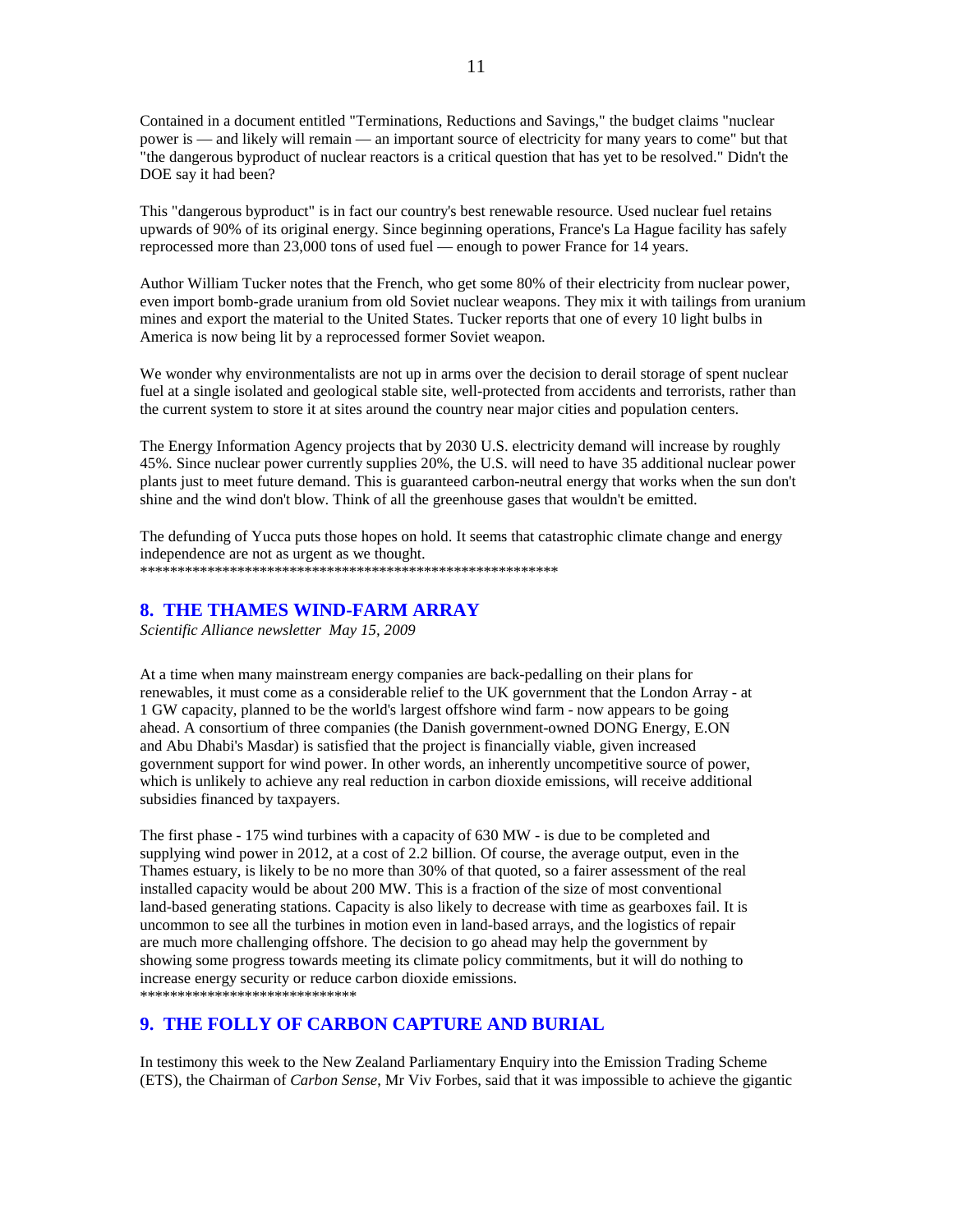Contained in a document entitled "Terminations, Reductions and Savings," the budget claims "nuclear power is — and likely will remain — an important source of electricity for many years to come" but that "the dangerous byproduct of nuclear reactors is a critical question that has yet to be resolved." Didn't the DOE say it had been?

This "dangerous byproduct" is in fact our country's best renewable resource. Used nuclear fuel retains upwards of 90% of its original energy. Since beginning operations, France's La Hague facility has safely reprocessed more than 23,000 tons of used fuel — enough to power France for 14 years.

Author William Tucker notes that the French, who get some 80% of their electricity from nuclear power, even import bomb-grade uranium from old Soviet nuclear weapons. They mix it with tailings from uranium mines and export the material to the United States. Tucker reports that one of every 10 light bulbs in America is now being lit by a reprocessed former Soviet weapon.

We wonder why environmentalists are not up in arms over the decision to derail storage of spent nuclear fuel at a single isolated and geological stable site, well-protected from accidents and terrorists, rather than the current system to store it at sites around the country near major cities and population centers.

The Energy Information Agency projects that by 2030 U.S. electricity demand will increase by roughly 45%. Since nuclear power currently supplies 20%, the U.S. will need to have 35 additional nuclear power plants just to meet future demand. This is guaranteed carbon-neutral energy that works when the sun don't shine and the wind don't blow. Think of all the greenhouse gases that wouldn't be emitted.

The defunding of Yucca puts those hopes on hold. It seems that catastrophic climate change and energy independence are not as urgent as we thought.

\*\*\*\*\*\*\*\*\*\*\*\*\*\*\*\*\*\*\*\*\*\*\*\*\*\*\*\*\*\*\*\*\*\*\*\*\*\*\*\*\*\*\*\*\*\*\*\*\*\*\*\*\*\*\*\*

## **8. THE THAMES WIND-FARM ARRAY**

*Scientific Alliance newsletter May 15, 2009* 

At a time when many mainstream energy companies are back-pedalling on their plans for renewables, it must come as a considerable relief to the UK government that the London Array - at 1 GW capacity, planned to be the world's largest offshore wind farm - now appears to be going ahead. A consortium of three companies (the Danish government-owned DONG Energy, E.ON and Abu Dhabi's Masdar) is satisfied that the project is financially viable, given increased government support for wind power. In other words, an inherently uncompetitive source of power, which is unlikely to achieve any real reduction in carbon dioxide emissions, will receive additional subsidies financed by taxpayers.

The first phase - 175 wind turbines with a capacity of 630 MW - is due to be completed and supplying wind power in 2012, at a cost of 2.2 billion. Of course, the average output, even in the Thames estuary, is likely to be no more than 30% of that quoted, so a fairer assessment of the real installed capacity would be about 200 MW. This is a fraction of the size of most conventional land-based generating stations. Capacity is also likely to decrease with time as gearboxes fail. It is uncommon to see all the turbines in motion even in land-based arrays, and the logistics of repair are much more challenging offshore. The decision to go ahead may help the government by showing some progress towards meeting its climate policy commitments, but it will do nothing to increase energy security or reduce carbon dioxide emissions. \*\*\*\*\*\*\*\*\*\*\*\*\*\*\*\*\*\*\*\*\*\*\*\*\*\*\*\*\*

## **9. THE FOLLY OF CARBON CAPTURE AND BURIAL**

In testimony this week to the New Zealand Parliamentary Enquiry into the Emission Trading Scheme (ETS), the Chairman of *Carbon Sense*, Mr Viv Forbes, said that it was impossible to achieve the gigantic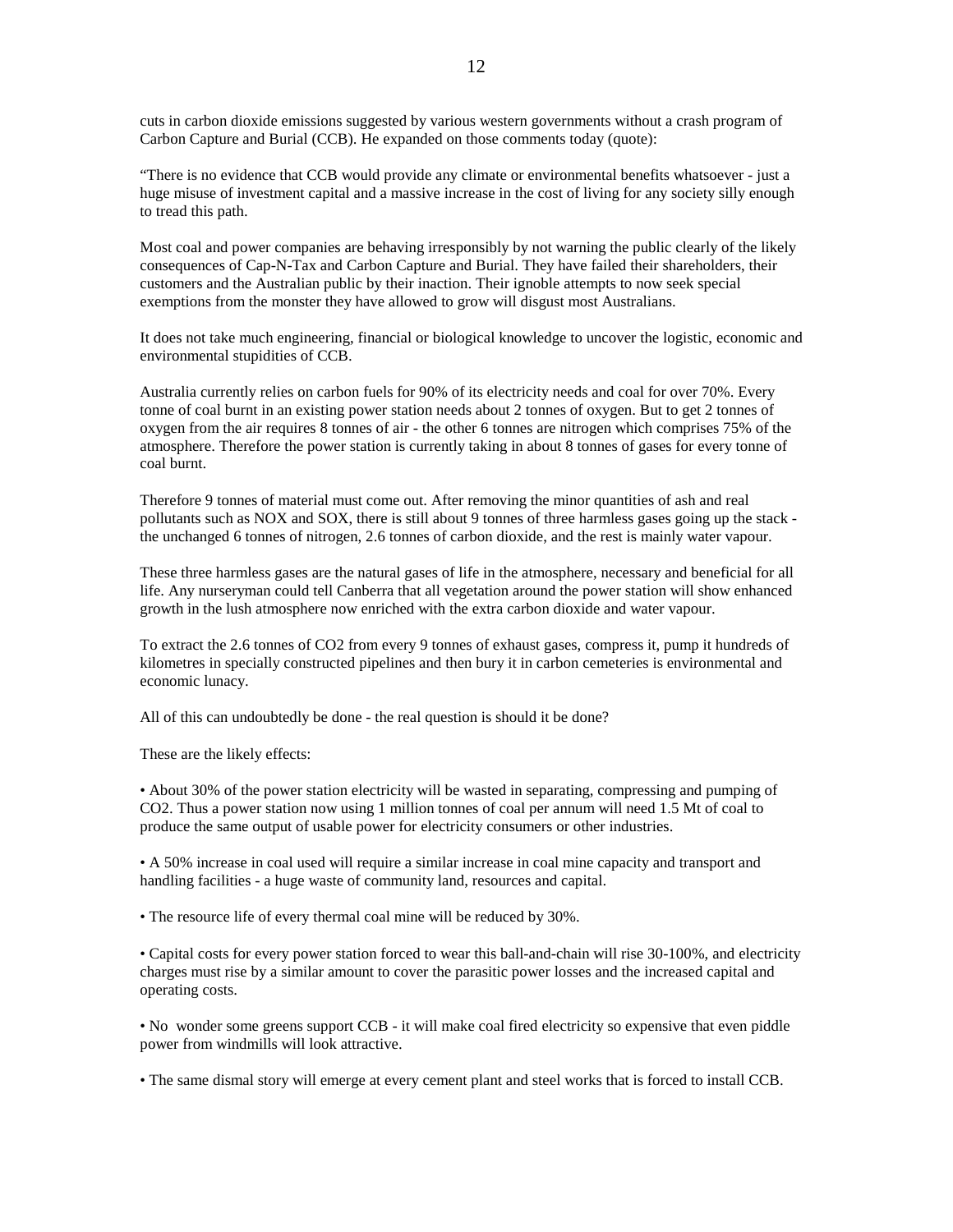cuts in carbon dioxide emissions suggested by various western governments without a crash program of Carbon Capture and Burial (CCB). He expanded on those comments today (quote):

"There is no evidence that CCB would provide any climate or environmental benefits whatsoever - just a huge misuse of investment capital and a massive increase in the cost of living for any society silly enough to tread this path.

Most coal and power companies are behaving irresponsibly by not warning the public clearly of the likely consequences of Cap-N-Tax and Carbon Capture and Burial. They have failed their shareholders, their customers and the Australian public by their inaction. Their ignoble attempts to now seek special exemptions from the monster they have allowed to grow will disgust most Australians.

It does not take much engineering, financial or biological knowledge to uncover the logistic, economic and environmental stupidities of CCB.

Australia currently relies on carbon fuels for 90% of its electricity needs and coal for over 70%. Every tonne of coal burnt in an existing power station needs about 2 tonnes of oxygen. But to get 2 tonnes of oxygen from the air requires 8 tonnes of air - the other 6 tonnes are nitrogen which comprises 75% of the atmosphere. Therefore the power station is currently taking in about 8 tonnes of gases for every tonne of coal burnt.

Therefore 9 tonnes of material must come out. After removing the minor quantities of ash and real pollutants such as NOX and SOX, there is still about 9 tonnes of three harmless gases going up the stack the unchanged 6 tonnes of nitrogen, 2.6 tonnes of carbon dioxide, and the rest is mainly water vapour.

These three harmless gases are the natural gases of life in the atmosphere, necessary and beneficial for all life. Any nurseryman could tell Canberra that all vegetation around the power station will show enhanced growth in the lush atmosphere now enriched with the extra carbon dioxide and water vapour.

To extract the 2.6 tonnes of CO2 from every 9 tonnes of exhaust gases, compress it, pump it hundreds of kilometres in specially constructed pipelines and then bury it in carbon cemeteries is environmental and economic lunacy.

All of this can undoubtedly be done - the real question is should it be done?

These are the likely effects:

• About 30% of the power station electricity will be wasted in separating, compressing and pumping of CO2. Thus a power station now using 1 million tonnes of coal per annum will need 1.5 Mt of coal to produce the same output of usable power for electricity consumers or other industries.

• A 50% increase in coal used will require a similar increase in coal mine capacity and transport and handling facilities - a huge waste of community land, resources and capital.

• The resource life of every thermal coal mine will be reduced by 30%.

• Capital costs for every power station forced to wear this ball-and-chain will rise 30-100%, and electricity charges must rise by a similar amount to cover the parasitic power losses and the increased capital and operating costs.

• No wonder some greens support CCB - it will make coal fired electricity so expensive that even piddle power from windmills will look attractive.

• The same dismal story will emerge at every cement plant and steel works that is forced to install CCB.